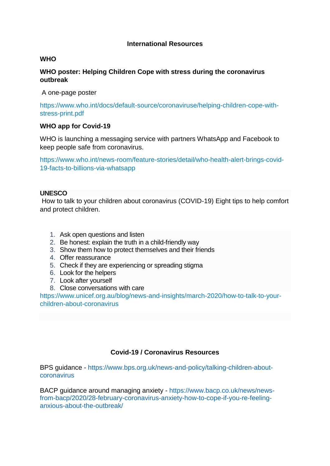## **International Resources**

## **WHO**

# **WHO poster: Helping Children Cope with stress during the coronavirus outbreak**

A one-page poster

[https://www.who.int/docs/default-source/coronaviruse/helping-children-cope-with](http://url1384.iimhl.com/ls/click?upn=RptxlUsf8pi9nY89y7PnRW747L4l81FaBlpM8cvK3Oi-2FFle-2F267016BApPcFOCOBZaLZ49ccMBNZAShxnBhBzPz21Yfa8EtdU5XdsX-2FMTSB5eN4RBm212yVIjd6hkmiLj1MnNWcdEzSOMefVCS6TJw-3D-3D2q-4_Mj-2FciSswvBdfEnfNyoSWC-2F9-2B4TovIqiDe5FaFtcYK0cZpXGR2MmC4Kwf464j2M7kiEIYPXSuFppULBH0AgD1qnuMlWlHoe-2B2nKMgE-2Bx0NuOIIUX2QMqJ4jPGhPLHedrRdZZ4Z3QuYgoHNaQ3jaz-2B7RbJxMBrYg5F8wfo5Bv99GDJl0GMMOC5-2Fi-2FbvwEL98blghlTQtWDm4r-2Fi1D2PqJZ2GzrJ-2FLv4mE7eGpUsor5OKVF0tvw-2BYbd5pRJaLmJ1BNs)[stress-print.pdf](http://url1384.iimhl.com/ls/click?upn=RptxlUsf8pi9nY89y7PnRW747L4l81FaBlpM8cvK3Oi-2FFle-2F267016BApPcFOCOBZaLZ49ccMBNZAShxnBhBzPz21Yfa8EtdU5XdsX-2FMTSB5eN4RBm212yVIjd6hkmiLj1MnNWcdEzSOMefVCS6TJw-3D-3D2q-4_Mj-2FciSswvBdfEnfNyoSWC-2F9-2B4TovIqiDe5FaFtcYK0cZpXGR2MmC4Kwf464j2M7kiEIYPXSuFppULBH0AgD1qnuMlWlHoe-2B2nKMgE-2Bx0NuOIIUX2QMqJ4jPGhPLHedrRdZZ4Z3QuYgoHNaQ3jaz-2B7RbJxMBrYg5F8wfo5Bv99GDJl0GMMOC5-2Fi-2FbvwEL98blghlTQtWDm4r-2Fi1D2PqJZ2GzrJ-2FLv4mE7eGpUsor5OKVF0tvw-2BYbd5pRJaLmJ1BNs)

### **WHO app for Covid-19**

WHO is launching a messaging service with partners WhatsApp and Facebook to keep people safe from coronavirus.

[https://www.who.int/news-room/feature-stories/detail/who-health-alert-brings-covid-](http://url1384.iimhl.com/ls/click?upn=RptxlUsf8pi9nY89y7PnRWea3eswk0WheIieA7cFnYncLDRyEqL0ljoY1b4ER-2FxeOOXfH0j3JKPo-2FHZAjB83Dhn8OLCZux7KlXH0rCm2T3Huzaz6Qz8sNjBc-2Be5fBv6TKuAQy8tarOXSTE2EPwEFCawO4cFWXsj8HY91niCYUIg-3DaSVj_Mj-2FciSswvBdfEnfNyoSWC-2F9-2B4TovIqiDe5FaFtcYK0cZpXGR2MmC4Kwf464j2M7kJT3SD79lB1x1uJBkjSj-2BWo917HMoGjU8jjGPx89pp6mLO77xT47GyIOJ9RpOor0AYAK1tVoqmOd2f9XMnI9CCXHy06uEnIGLFEaYVXZjqBJgvt-2BqcUU4P0NGd6wHEKxzbnIpBJ1SoO29lYcI-2FMUHGtmtc2smxLgl3mR19EFbjDGvhe0Cq9tpvTtICMNp-2B3d0)[19-facts-to-billions-via-whatsapp](http://url1384.iimhl.com/ls/click?upn=RptxlUsf8pi9nY89y7PnRWea3eswk0WheIieA7cFnYncLDRyEqL0ljoY1b4ER-2FxeOOXfH0j3JKPo-2FHZAjB83Dhn8OLCZux7KlXH0rCm2T3Huzaz6Qz8sNjBc-2Be5fBv6TKuAQy8tarOXSTE2EPwEFCawO4cFWXsj8HY91niCYUIg-3DaSVj_Mj-2FciSswvBdfEnfNyoSWC-2F9-2B4TovIqiDe5FaFtcYK0cZpXGR2MmC4Kwf464j2M7kJT3SD79lB1x1uJBkjSj-2BWo917HMoGjU8jjGPx89pp6mLO77xT47GyIOJ9RpOor0AYAK1tVoqmOd2f9XMnI9CCXHy06uEnIGLFEaYVXZjqBJgvt-2BqcUU4P0NGd6wHEKxzbnIpBJ1SoO29lYcI-2FMUHGtmtc2smxLgl3mR19EFbjDGvhe0Cq9tpvTtICMNp-2B3d0)

### **UNESCO**

How to talk to your children about coronavirus (COVID-19) Eight tips to help comfort and protect children.

- 1. Ask open questions and listen
- 2. Be honest: explain the truth in a child-friendly way
- 3. Show them how to protect themselves and their friends
- 4. Offer reassurance
- 5. Check if they are experiencing or spreading stigma
- 6. Look for the helpers
- 7. Look after yourself
- 8. Close conversations with care

[https://www.unicef.org.au/blog/news-and-insights/march-2020/how-to-talk-to-your](http://url1384.iimhl.com/ls/click?upn=RptxlUsf8pi9nY89y7PnRX24fjZli0mB-2BjHz4jwK4v9CmVLu8ddk-2BefSrmj2Q1TtVsVY2B-2FAGsm7aZn-2FkTQfqfhni4M0AIvoSbihhHTTbU2neWTinr0jpUmo0DJ5MY8fsRAYhNLSIYmMQPDXsnZ7565NRCtqW-2FHADWZUYNmhtrA-3DEOwx_Mj-2FciSswvBdfEnfNyoSWC-2F9-2B4TovIqiDe5FaFtcYK0cZpXGR2MmC4Kwf464j2M7k8oLIon4mb-2FzVOtZMjfR35FJ4BO6f1KlPRdS7uQ7aOCvkCV-2Fx1lkF99ZZcFzr1flWTRW0L-2FLGzVRNTQVGrFiCAMbBeJmSfRysNCY-2BWFBltmDL8YVuqNwB1fIokeuQ6VROCmqK4y59KA56FB6p2qv6nPaDrbcJgOZH-2FHWZg7ggJsgrVE-2BxA7Td6f5wliYyyYAo)[children-about-coronavirus](http://url1384.iimhl.com/ls/click?upn=RptxlUsf8pi9nY89y7PnRX24fjZli0mB-2BjHz4jwK4v9CmVLu8ddk-2BefSrmj2Q1TtVsVY2B-2FAGsm7aZn-2FkTQfqfhni4M0AIvoSbihhHTTbU2neWTinr0jpUmo0DJ5MY8fsRAYhNLSIYmMQPDXsnZ7565NRCtqW-2FHADWZUYNmhtrA-3DEOwx_Mj-2FciSswvBdfEnfNyoSWC-2F9-2B4TovIqiDe5FaFtcYK0cZpXGR2MmC4Kwf464j2M7k8oLIon4mb-2FzVOtZMjfR35FJ4BO6f1KlPRdS7uQ7aOCvkCV-2Fx1lkF99ZZcFzr1flWTRW0L-2FLGzVRNTQVGrFiCAMbBeJmSfRysNCY-2BWFBltmDL8YVuqNwB1fIokeuQ6VROCmqK4y59KA56FB6p2qv6nPaDrbcJgOZH-2FHWZg7ggJsgrVE-2BxA7Td6f5wliYyyYAo)

## **Covid-19 / Coronavirus Resources**

BPS guidance - [https://www.bps.org.uk/news-and-policy/talking-children-about](https://www.bps.org.uk/news-and-policy/talking-children-about-coronavirus)[coronavirus](https://www.bps.org.uk/news-and-policy/talking-children-about-coronavirus)

BACP guidance around managing anxiety - [https://www.bacp.co.uk/news/news](https://www.bacp.co.uk/news/news-from-bacp/2020/28-february-coronavirus-anxiety-how-to-cope-if-you-re-feeling-anxious-about-the-outbreak/)[from-bacp/2020/28-february-coronavirus-anxiety-how-to-cope-if-you-re-feeling](https://www.bacp.co.uk/news/news-from-bacp/2020/28-february-coronavirus-anxiety-how-to-cope-if-you-re-feeling-anxious-about-the-outbreak/)[anxious-about-the-outbreak/](https://www.bacp.co.uk/news/news-from-bacp/2020/28-february-coronavirus-anxiety-how-to-cope-if-you-re-feeling-anxious-about-the-outbreak/)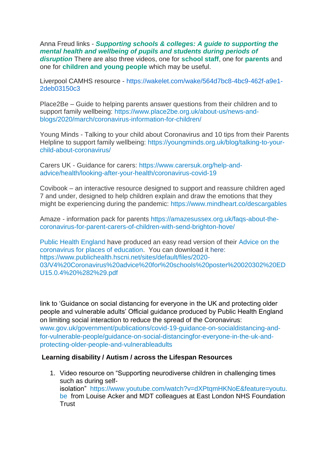Anna Freud links - *Supporting schools & colleges: [A guide to supporting the](https://annafreud.us13.list-manage.com/track/click?u=aa2c9f8b722440e7e05bedb82&id=b6a9958dd5&e=58f0e0f449)  [mental health and wellbeing of pupils and students during periods of](https://annafreud.us13.list-manage.com/track/click?u=aa2c9f8b722440e7e05bedb82&id=b6a9958dd5&e=58f0e0f449)  [disruption](https://annafreud.us13.list-manage.com/track/click?u=aa2c9f8b722440e7e05bedb82&id=b6a9958dd5&e=58f0e0f449)* There are also three videos, one for **[school staff](https://annafreud.us13.list-manage.com/track/click?u=aa2c9f8b722440e7e05bedb82&id=3936df136b&e=58f0e0f449)**, one for **[parents](https://annafreud.us13.list-manage.com/track/click?u=aa2c9f8b722440e7e05bedb82&id=12ffbbb354&e=58f0e0f449)** and one for **[children and young](https://annafreud.us13.list-manage.com/track/click?u=aa2c9f8b722440e7e05bedb82&id=bfeb6149a3&e=58f0e0f449) people** which may be useful.

Liverpool CAMHS resource - [https://wakelet.com/wake/564d7bc8-4bc9-462f-a9e1-](https://wakelet.com/wake/564d7bc8-4bc9-462f-a9e1-2deb03150c3f) [2deb03150c3](https://wakelet.com/wake/564d7bc8-4bc9-462f-a9e1-2deb03150c3f)

Place2Be – Guide to helping parents answer questions from their children and to support family wellbeing: [https://www.place2be.org.uk/about-us/news-and](https://eur02.safelinks.protection.outlook.com/?url=https%3A%2F%2Fwww.place2be.org.uk%2Fabout-us%2Fnews-and-blogs%2F2020%2Fmarch%2Fcoronavirus-information-for-children%2F&data=02%7C01%7CAAllard%40ncb.org.uk%7C7d078078e21d4611dba808d7cb45bcbd%7Cadc87355e29c4519954f95e35c776178%7C0%7C0%7C637201372684930090&sdata=AWZKF3H5NwjfSE9gcCUoshSrOC0crBlLr%2FKLPTtGpTo%3D&reserved=0)[blogs/2020/march/coronavirus-information-for-children/](https://eur02.safelinks.protection.outlook.com/?url=https%3A%2F%2Fwww.place2be.org.uk%2Fabout-us%2Fnews-and-blogs%2F2020%2Fmarch%2Fcoronavirus-information-for-children%2F&data=02%7C01%7CAAllard%40ncb.org.uk%7C7d078078e21d4611dba808d7cb45bcbd%7Cadc87355e29c4519954f95e35c776178%7C0%7C0%7C637201372684930090&sdata=AWZKF3H5NwjfSE9gcCUoshSrOC0crBlLr%2FKLPTtGpTo%3D&reserved=0)

Young Minds - Talking to your child about Coronavirus and 10 tips from their Parents Helpline to support family wellbeing: [https://youngminds.org.uk/blog/talking-to-your](https://eur02.safelinks.protection.outlook.com/?url=https%3A%2F%2Fyoungminds.org.uk%2Fblog%2Ftalking-to-your-child-about-coronavirus%2F&data=02%7C01%7CAAllard%40ncb.org.uk%7C7d078078e21d4611dba808d7cb45bcbd%7Cadc87355e29c4519954f95e35c776178%7C0%7C0%7C637201372684930090&sdata=hCT6wVcFSacio7qNOvk6eX8YRRm0uKSOa4QvPTitEMg%3D&reserved=0)[child-about-coronavirus/](https://eur02.safelinks.protection.outlook.com/?url=https%3A%2F%2Fyoungminds.org.uk%2Fblog%2Ftalking-to-your-child-about-coronavirus%2F&data=02%7C01%7CAAllard%40ncb.org.uk%7C7d078078e21d4611dba808d7cb45bcbd%7Cadc87355e29c4519954f95e35c776178%7C0%7C0%7C637201372684930090&sdata=hCT6wVcFSacio7qNOvk6eX8YRRm0uKSOa4QvPTitEMg%3D&reserved=0)

Carers UK - Guidance for carers: [https://www.carersuk.org/help-and](https://eur02.safelinks.protection.outlook.com/?url=https%3A%2F%2Fwww.carersuk.org%2Fhelp-and-advice%2Fhealth%2Flooking-after-your-health%2Fcoronavirus-covid-19&data=02%7C01%7CAAllard%40ncb.org.uk%7C7d078078e21d4611dba808d7cb45bcbd%7Cadc87355e29c4519954f95e35c776178%7C0%7C0%7C637201372684940084&sdata=RPeTq3k0bpsI1zGIjDqchzAvM%2F7CO2FZ16o%2BrlK4Kns%3D&reserved=0)[advice/health/looking-after-your-health/coronavirus-covid-19](https://eur02.safelinks.protection.outlook.com/?url=https%3A%2F%2Fwww.carersuk.org%2Fhelp-and-advice%2Fhealth%2Flooking-after-your-health%2Fcoronavirus-covid-19&data=02%7C01%7CAAllard%40ncb.org.uk%7C7d078078e21d4611dba808d7cb45bcbd%7Cadc87355e29c4519954f95e35c776178%7C0%7C0%7C637201372684940084&sdata=RPeTq3k0bpsI1zGIjDqchzAvM%2F7CO2FZ16o%2BrlK4Kns%3D&reserved=0)

Covibook – an interactive resource designed to support and reassure children aged 7 and under, designed to help children explain and draw the emotions that they might be experiencing during the pandemic: [https://www.mindheart.co/descargables](https://eur02.safelinks.protection.outlook.com/?url=https%3A%2F%2Fwww.mindheart.co%2Fdescargables&data=02%7C01%7CAAllard%40ncb.org.uk%7C7d078078e21d4611dba808d7cb45bcbd%7Cadc87355e29c4519954f95e35c776178%7C0%7C0%7C637201372684940084&sdata=H2glY%2Bfie1Tk3b6lnXcKEmKtZs%2Bf%2BCSQIydH2LaaCgI%3D&reserved=0)

Amaze - information pack for parents [https://amazesussex.org.uk/faqs-about-the](https://eur02.safelinks.protection.outlook.com/?url=https%3A%2F%2Famazesussex.org.uk%2Ffaqs-about-the-coronavirus-for-parent-carers-of-children-with-send-brighton-hove%2F&data=02%7C01%7CAAllard%40ncb.org.uk%7C92a7a8384aa149ae85e808d7cb487833%7Cadc87355e29c4519954f95e35c776178%7C0%7C0%7C637201384417448135&sdata=vNjEFd%2F0%2BTMSMYvl2HRnHO02RnJpLmMDUdkpu2oDS8w%3D&reserved=0)[coronavirus-for-parent-carers-of-children-with-send-brighton-hove/](https://eur02.safelinks.protection.outlook.com/?url=https%3A%2F%2Famazesussex.org.uk%2Ffaqs-about-the-coronavirus-for-parent-carers-of-children-with-send-brighton-hove%2F&data=02%7C01%7CAAllard%40ncb.org.uk%7C92a7a8384aa149ae85e808d7cb487833%7Cadc87355e29c4519954f95e35c776178%7C0%7C0%7C637201384417448135&sdata=vNjEFd%2F0%2BTMSMYvl2HRnHO02RnJpLmMDUdkpu2oDS8w%3D&reserved=0)

[Public Health England](https://eur02.safelinks.protection.outlook.com/?url=https%3A%2F%2Feasy-read-online.us15.list-manage.com%2Ftrack%2Fclick%3Fu%3D6d563f7f763a0cf7e70c9cfe1%26id%3D0c04c35bc0%26e%3D1a4a54ea5e&data=02%7C01%7CAAllard%40ncb.org.uk%7Caf891cc0fed7420ba55608d7ca566849%7Cadc87355e29c4519954f95e35c776178%7C0%7C0%7C637200344772988297&sdata=9mh8m8DKfQVNX9GPfAMXq57s5ykCLVm7PE6%2BPiCAKUc%3D&reserved=0) have produced an easy read version of their [Advice on the](https://eur02.safelinks.protection.outlook.com/?url=https%3A%2F%2Feasy-read-online.us15.list-manage.com%2Ftrack%2Fclick%3Fu%3D6d563f7f763a0cf7e70c9cfe1%26id%3D6efa277046%26e%3D1a4a54ea5e&data=02%7C01%7CAAllard%40ncb.org.uk%7Caf891cc0fed7420ba55608d7ca566849%7Cadc87355e29c4519954f95e35c776178%7C0%7C0%7C637200344772978298&sdata=blVpFcNZEHqif7ytPfFwrpGNY2Mmmw4leeRFvWPiT4o%3D&reserved=0)  [coronavirus for places of education.](https://eur02.safelinks.protection.outlook.com/?url=https%3A%2F%2Feasy-read-online.us15.list-manage.com%2Ftrack%2Fclick%3Fu%3D6d563f7f763a0cf7e70c9cfe1%26id%3D6efa277046%26e%3D1a4a54ea5e&data=02%7C01%7CAAllard%40ncb.org.uk%7Caf891cc0fed7420ba55608d7ca566849%7Cadc87355e29c4519954f95e35c776178%7C0%7C0%7C637200344772978298&sdata=blVpFcNZEHqif7ytPfFwrpGNY2Mmmw4leeRFvWPiT4o%3D&reserved=0) You can download it here: [https://www.publichealth.hscni.net/sites/default/files/2020-](https://www.publichealth.hscni.net/sites/default/files/2020-03/V4%20Coronavirus%20advice%20for%20schools%20poster%20020302%20EDU15.0.4%20%282%29.pdf) [03/V4%20Coronavirus%20advice%20for%20schools%20poster%20020302%20ED](https://www.publichealth.hscni.net/sites/default/files/2020-03/V4%20Coronavirus%20advice%20for%20schools%20poster%20020302%20EDU15.0.4%20%282%29.pdf) [U15.0.4%20%282%29.pdf](https://www.publichealth.hscni.net/sites/default/files/2020-03/V4%20Coronavirus%20advice%20for%20schools%20poster%20020302%20EDU15.0.4%20%282%29.pdf)

link to 'Guidance on social distancing for everyone in the UK and protecting older people and vulnerable adults' Official guidance produced by Public Health England on limiting social interaction to reduce the spread of the Coronavirus: [www.gov.uk/government/publications/covid-19-guidance-on-socialdistancing-and](https://mandrillapp.com/track/click/31136955/www.gov.uk?p=eyJzIjoiOF9yWHgwRW1udXhFRE93ZFp3dUR6S2laVVdrIiwidiI6MSwicCI6IntcInVcIjozMTEzNjk1NSxcInZcIjoxLFwidXJsXCI6XCJodHRwOlxcXC9cXFwvd3d3Lmdvdi51a1xcXC9nb3Zlcm5tZW50XFxcL3B1YmxpY2F0aW9uc1xcXC9jb3ZpZC0xOS1ndWlkYW5jZS1vbi1zb2NpYWxkaXN0YW5jaW5nLWFuZC1mb3ItdnVsbmVyYWJsZS1wZW9wbGVcXFwvZ3VpZGFuY2Utb24tc29jaWFsLWRpc3RhbmNpbmdmb3ItZXZlcnlvbmUtaW4tdGhlLXVrLWFuZC1wcm90ZWN0aW5nLW9sZGVyLXBlb3BsZS1hbmQtdnVsbmVyYWJsZWFkdWx0c1wiLFwiaWRcIjpcIjBiMzQ4NzhlNDBhOTRiMjA4YzY2OTQxYzMzNjgzOTEwXCIsXCJ1cmxfaWRzXCI6W1wiYWRhMjJhMmU1M2I0NzVkMzY5YmIzYjc4N2I0OGJmODYxNTYxNTdmMVwiXX0ifQ)[for-vulnerable-people/guidance-on-social-distancingfor-everyone-in-the-uk-and](https://mandrillapp.com/track/click/31136955/www.gov.uk?p=eyJzIjoiOF9yWHgwRW1udXhFRE93ZFp3dUR6S2laVVdrIiwidiI6MSwicCI6IntcInVcIjozMTEzNjk1NSxcInZcIjoxLFwidXJsXCI6XCJodHRwOlxcXC9cXFwvd3d3Lmdvdi51a1xcXC9nb3Zlcm5tZW50XFxcL3B1YmxpY2F0aW9uc1xcXC9jb3ZpZC0xOS1ndWlkYW5jZS1vbi1zb2NpYWxkaXN0YW5jaW5nLWFuZC1mb3ItdnVsbmVyYWJsZS1wZW9wbGVcXFwvZ3VpZGFuY2Utb24tc29jaWFsLWRpc3RhbmNpbmdmb3ItZXZlcnlvbmUtaW4tdGhlLXVrLWFuZC1wcm90ZWN0aW5nLW9sZGVyLXBlb3BsZS1hbmQtdnVsbmVyYWJsZWFkdWx0c1wiLFwiaWRcIjpcIjBiMzQ4NzhlNDBhOTRiMjA4YzY2OTQxYzMzNjgzOTEwXCIsXCJ1cmxfaWRzXCI6W1wiYWRhMjJhMmU1M2I0NzVkMzY5YmIzYjc4N2I0OGJmODYxNTYxNTdmMVwiXX0ifQ)[protecting-older-people-and-vulnerableadults](https://mandrillapp.com/track/click/31136955/www.gov.uk?p=eyJzIjoiOF9yWHgwRW1udXhFRE93ZFp3dUR6S2laVVdrIiwidiI6MSwicCI6IntcInVcIjozMTEzNjk1NSxcInZcIjoxLFwidXJsXCI6XCJodHRwOlxcXC9cXFwvd3d3Lmdvdi51a1xcXC9nb3Zlcm5tZW50XFxcL3B1YmxpY2F0aW9uc1xcXC9jb3ZpZC0xOS1ndWlkYW5jZS1vbi1zb2NpYWxkaXN0YW5jaW5nLWFuZC1mb3ItdnVsbmVyYWJsZS1wZW9wbGVcXFwvZ3VpZGFuY2Utb24tc29jaWFsLWRpc3RhbmNpbmdmb3ItZXZlcnlvbmUtaW4tdGhlLXVrLWFuZC1wcm90ZWN0aW5nLW9sZGVyLXBlb3BsZS1hbmQtdnVsbmVyYWJsZWFkdWx0c1wiLFwiaWRcIjpcIjBiMzQ4NzhlNDBhOTRiMjA4YzY2OTQxYzMzNjgzOTEwXCIsXCJ1cmxfaWRzXCI6W1wiYWRhMjJhMmU1M2I0NzVkMzY5YmIzYjc4N2I0OGJmODYxNTYxNTdmMVwiXX0ifQ)

### **Learning disability / Autism / across the Lifespan Resources**

1. Video resource on "Supporting neurodiverse children in challenging times such as during selfisolation" [https://www.youtube.com/watch?v=dXPtqmHKNoE&feature=youtu.](https://mandrillapp.com/track/click/31136955/www.youtube.com?p=eyJzIjoiNzhfZDVCTEdRdGw5WXNZaHNXMlFEUzYxWk5zIiwidiI6MSwicCI6IntcInVcIjozMTEzNjk1NSxcInZcIjoxLFwidXJsXCI6XCJodHRwczpcXFwvXFxcL3d3dy55b3V0dWJlLmNvbVxcXC93YXRjaD92PWRYUHRxbUhLTm9FJmZlYXR1cmU9eW91dHUuYmVcIixcImlkXCI6XCIwYjM0ODc4ZTQwYTk0YjIwOGM2Njk0MWMzMzY4MzkxMFwiLFwidXJsX2lkc1wiOltcIjc3NGY3NDEyZDFhMzY5ZDFjMDRhYjBiYjk2NDYxNGNkNTVlN2UyOTRcIl19In0) [be](https://mandrillapp.com/track/click/31136955/www.youtube.com?p=eyJzIjoiNzhfZDVCTEdRdGw5WXNZaHNXMlFEUzYxWk5zIiwidiI6MSwicCI6IntcInVcIjozMTEzNjk1NSxcInZcIjoxLFwidXJsXCI6XCJodHRwczpcXFwvXFxcL3d3dy55b3V0dWJlLmNvbVxcXC93YXRjaD92PWRYUHRxbUhLTm9FJmZlYXR1cmU9eW91dHUuYmVcIixcImlkXCI6XCIwYjM0ODc4ZTQwYTk0YjIwOGM2Njk0MWMzMzY4MzkxMFwiLFwidXJsX2lkc1wiOltcIjc3NGY3NDEyZDFhMzY5ZDFjMDRhYjBiYjk2NDYxNGNkNTVlN2UyOTRcIl19In0) from Louise Acker and MDT colleagues at East London NHS Foundation **Trust**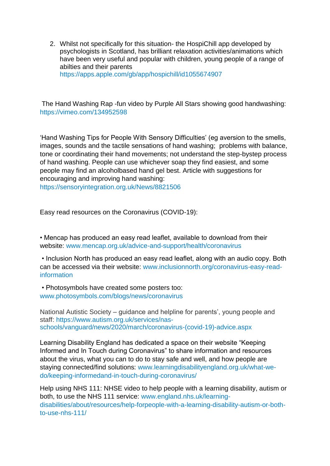2. Whilst not specifically for this situation- the HospiChill app developed by psychologists in Scotland, has brilliant relaxation activities/animations which have been very useful and popular with children, young people of a range of abilties and their parents

[https://apps.apple.com/gb/app/hospichill/id1055674907](https://mandrillapp.com/track/click/31136955/apps.apple.com?p=eyJzIjoiRVNHMzhjalZ4SHhweWNWSFlTUnR4ZzBHSWxRIiwidiI6MSwicCI6IntcInVcIjozMTEzNjk1NSxcInZcIjoxLFwidXJsXCI6XCJodHRwczpcXFwvXFxcL2FwcHMuYXBwbGUuY29tXFxcL2diXFxcL2FwcFxcXC9ob3NwaWNoaWxsXFxcL2lkMTA1NTY3NDkwN1wiLFwiaWRcIjpcIjBiMzQ4NzhlNDBhOTRiMjA4YzY2OTQxYzMzNjgzOTEwXCIsXCJ1cmxfaWRzXCI6W1wiOWRjZGI4MDgwNzMxMzZhNTMzZTU0ZGVmZmJiNThiYzFiYzBmYzQwMlwiXX0ifQ)

The Hand Washing Rap -fun video by Purple All Stars showing good handwashing: [https://vimeo.com/134952598](https://mandrillapp.com/track/click/31136955/vimeo.com?p=eyJzIjoiOFJZcTRvRUdsTzlWUzVzYlBqaHVYMjdSUVNVIiwidiI6MSwicCI6IntcInVcIjozMTEzNjk1NSxcInZcIjoxLFwidXJsXCI6XCJodHRwczpcXFwvXFxcL3ZpbWVvLmNvbVxcXC8xMzQ5NTI1OThcIixcImlkXCI6XCIwYjM0ODc4ZTQwYTk0YjIwOGM2Njk0MWMzMzY4MzkxMFwiLFwidXJsX2lkc1wiOltcImNiNjg1ZDIzZmRmOTkyMjE0ZDcxNTdlN2ZlNWUzNGRkNDM2OGUzNjJcIl19In0)

'Hand Washing Tips for People With Sensory Difficulties' (eg aversion to the smells, images, sounds and the tactile sensations of hand washing; problems with balance, tone or coordinating their hand movements; not understand the step-bystep process of hand washing. People can use whichever soap they find easiest, and some people may find an alcoholbased hand gel best. Article with suggestions for encouraging and improving hand washing:

[https://sensoryintegration.org.uk/News/8821506](https://mandrillapp.com/track/click/31136955/sensoryintegration.org.uk?p=eyJzIjoiY19KYzVNazUxcWNTeDdKX0dlZHRkQ1hJY1RNIiwidiI6MSwicCI6IntcInVcIjozMTEzNjk1NSxcInZcIjoxLFwidXJsXCI6XCJodHRwczpcXFwvXFxcL3NlbnNvcnlpbnRlZ3JhdGlvbi5vcmcudWtcXFwvTmV3c1xcXC84ODIxNTA2XCIsXCJpZFwiOlwiMGIzNDg3OGU0MGE5NGIyMDhjNjY5NDFjMzM2ODM5MTBcIixcInVybF9pZHNcIjpbXCI3YmM0Yjg4OGM4YjgxZDM3NjJjNmE0ZGQwNWRjYjQ4NTFhOTcyZmFiXCJdfSJ9)

Easy read resources on the Coronavirus (COVID-19):

• Mencap has produced an easy read leaflet, available to download from their website: [www.mencap.org.uk/advice-and-support/health/coronavirus](https://mandrillapp.com/track/click/31136955/www.mencap.org.uk?p=eyJzIjoiOF9Wd25scG1mOUkwcmRsVzV0YTV3V2dmRHlJIiwidiI6MSwicCI6IntcInVcIjozMTEzNjk1NSxcInZcIjoxLFwidXJsXCI6XCJodHRwOlxcXC9cXFwvd3d3Lm1lbmNhcC5vcmcudWtcXFwvYWR2aWNlLWFuZC1zdXBwb3J0XFxcL2hlYWx0aFxcXC9jb3JvbmF2aXJ1c1wiLFwiaWRcIjpcIjBiMzQ4NzhlNDBhOTRiMjA4YzY2OTQxYzMzNjgzOTEwXCIsXCJ1cmxfaWRzXCI6W1wiNzdiYzZhNDQ4MzRlNzE2MWUwZWU2YjdhN2I3OTAyNmViNDY1YzY4NFwiXX0ifQ)

• Inclusion North has produced an easy read leaflet, along with an audio copy. Both can be accessed via their website: [www.inclusionnorth.org/coronavirus-easy-read](https://mandrillapp.com/track/click/31136955/www.inclusionnorth.org?p=eyJzIjoiWWpDemR0NnkyMkNXLTM0bzNZc1NhNHZVZ1V3IiwidiI6MSwicCI6IntcInVcIjozMTEzNjk1NSxcInZcIjoxLFwidXJsXCI6XCJodHRwOlxcXC9cXFwvd3d3LmluY2x1c2lvbm5vcnRoLm9yZ1xcXC9jb3JvbmF2aXJ1cy1lYXN5LXJlYWQtaW5mb3JtYXRpb25cIixcImlkXCI6XCIwYjM0ODc4ZTQwYTk0YjIwOGM2Njk0MWMzMzY4MzkxMFwiLFwidXJsX2lkc1wiOltcIjcyZDFhMDVkZDc5NGZhOTRlYmY0MjE1YjY2MGE0NjhlYzE3YWE0NjVcIl19In0)[information](https://mandrillapp.com/track/click/31136955/www.inclusionnorth.org?p=eyJzIjoiWWpDemR0NnkyMkNXLTM0bzNZc1NhNHZVZ1V3IiwidiI6MSwicCI6IntcInVcIjozMTEzNjk1NSxcInZcIjoxLFwidXJsXCI6XCJodHRwOlxcXC9cXFwvd3d3LmluY2x1c2lvbm5vcnRoLm9yZ1xcXC9jb3JvbmF2aXJ1cy1lYXN5LXJlYWQtaW5mb3JtYXRpb25cIixcImlkXCI6XCIwYjM0ODc4ZTQwYTk0YjIwOGM2Njk0MWMzMzY4MzkxMFwiLFwidXJsX2lkc1wiOltcIjcyZDFhMDVkZDc5NGZhOTRlYmY0MjE1YjY2MGE0NjhlYzE3YWE0NjVcIl19In0)

• Photosymbols have created some posters too: [www.photosymbols.com/blogs/news/coronavirus](https://mandrillapp.com/track/click/31136955/www.photosymbols.com?p=eyJzIjoiV1lDZ0pzRFZZd3BDRWdkNXVYWGlmMFd3VFJBIiwidiI6MSwicCI6IntcInVcIjozMTEzNjk1NSxcInZcIjoxLFwidXJsXCI6XCJodHRwOlxcXC9cXFwvd3d3LnBob3Rvc3ltYm9scy5jb21cXFwvYmxvZ3NcXFwvbmV3c1xcXC9jb3JvbmF2aXJ1c1wiLFwiaWRcIjpcIjBiMzQ4NzhlNDBhOTRiMjA4YzY2OTQxYzMzNjgzOTEwXCIsXCJ1cmxfaWRzXCI6W1wiZjlhZDk2NDExMjg2NTBmODRmYzY2Y2FlM2ZkYzVmZjE4OTAxYTAwN1wiXX0ifQ)

National Autistic Society – guidance and helpline for parents', young people and staff: [https://www.autism.org.uk/services/nas](https://eur02.safelinks.protection.outlook.com/?url=https%3A%2F%2Fwww.autism.org.uk%2Fservices%2Fnas-schools%2Fvanguard%2Fnews%2F2020%2Fmarch%2Fcoronavirus-(covid-19)-advice.aspx&data=02%7C01%7CAAllard%40ncb.org.uk%7C7d078078e21d4611dba808d7cb45bcbd%7Cadc87355e29c4519954f95e35c776178%7C0%7C0%7C637201372684920098&sdata=X0p0IpfwmQXowcaQVRflamskU%2FNmdKpAYqUIn6RYxjI%3D&reserved=0)[schools/vanguard/news/2020/march/coronavirus-\(covid-19\)-advice.aspx](https://eur02.safelinks.protection.outlook.com/?url=https%3A%2F%2Fwww.autism.org.uk%2Fservices%2Fnas-schools%2Fvanguard%2Fnews%2F2020%2Fmarch%2Fcoronavirus-(covid-19)-advice.aspx&data=02%7C01%7CAAllard%40ncb.org.uk%7C7d078078e21d4611dba808d7cb45bcbd%7Cadc87355e29c4519954f95e35c776178%7C0%7C0%7C637201372684920098&sdata=X0p0IpfwmQXowcaQVRflamskU%2FNmdKpAYqUIn6RYxjI%3D&reserved=0)

Learning Disability England has dedicated a space on their website "Keeping Informed and In Touch during Coronavirus" to share information and resources about the virus, what you can to do to stay safe and well, and how people are staying connected/find solutions: [www.learningdisabilityengland.org.uk/what-we](https://mandrillapp.com/track/click/31136955/www.learningdisabilityengland.org.uk?p=eyJzIjoiSlBmaHU1YkUxbHc5TjlLbmdjSW9HeHRXZlRNIiwidiI6MSwicCI6IntcInVcIjozMTEzNjk1NSxcInZcIjoxLFwidXJsXCI6XCJodHRwOlxcXC9cXFwvd3d3LmxlYXJuaW5nZGlzYWJpbGl0eWVuZ2xhbmQub3JnLnVrXFxcL3doYXQtd2UtZG9cXFwva2VlcGluZy1pbmZvcm1lZGFuZC1pbi10b3VjaC1kdXJpbmctY29yb25hdmlydXNcXFwvXCIsXCJpZFwiOlwiMGIzNDg3OGU0MGE5NGIyMDhjNjY5NDFjMzM2ODM5MTBcIixcInVybF9pZHNcIjpbXCIwMmNmMmUxNTUxNDJiOWZmM2M0Mjk2Y2ZlNzIzYTRiN2M5NTAxNDgzXCJdfSJ9)[do/keeping-informedand-in-touch-during-coronavirus/](https://mandrillapp.com/track/click/31136955/www.learningdisabilityengland.org.uk?p=eyJzIjoiSlBmaHU1YkUxbHc5TjlLbmdjSW9HeHRXZlRNIiwidiI6MSwicCI6IntcInVcIjozMTEzNjk1NSxcInZcIjoxLFwidXJsXCI6XCJodHRwOlxcXC9cXFwvd3d3LmxlYXJuaW5nZGlzYWJpbGl0eWVuZ2xhbmQub3JnLnVrXFxcL3doYXQtd2UtZG9cXFwva2VlcGluZy1pbmZvcm1lZGFuZC1pbi10b3VjaC1kdXJpbmctY29yb25hdmlydXNcXFwvXCIsXCJpZFwiOlwiMGIzNDg3OGU0MGE5NGIyMDhjNjY5NDFjMzM2ODM5MTBcIixcInVybF9pZHNcIjpbXCIwMmNmMmUxNTUxNDJiOWZmM2M0Mjk2Y2ZlNzIzYTRiN2M5NTAxNDgzXCJdfSJ9)

Help using NHS 111: NHSE video to help people with a learning disability, autism or both, to use the NHS 111 service: [www.england.nhs.uk/learning](https://mandrillapp.com/track/click/31136955/www.england.nhs.uk?p=eyJzIjoiQzFsVGxwVzdJb3lkTk9YaU8zemQxUC1Gb2lrIiwidiI6MSwicCI6IntcInVcIjozMTEzNjk1NSxcInZcIjoxLFwidXJsXCI6XCJodHRwOlxcXC9cXFwvd3d3LmVuZ2xhbmQubmhzLnVrXFxcL2xlYXJuaW5nLWRpc2FiaWxpdGllc1xcXC9hYm91dFxcXC9yZXNvdXJjZXNcXFwvaGVscC1mb3JwZW9wbGUtd2l0aC1hLWxlYXJuaW5nLWRpc2FiaWxpdHktYXV0aXNtLW9yLWJvdGgtdG8tdXNlLW5ocy0xMTFcXFwvXCIsXCJpZFwiOlwiMGIzNDg3OGU0MGE5NGIyMDhjNjY5NDFjMzM2ODM5MTBcIixcInVybF9pZHNcIjpbXCI1YzA3ZmFmNjgzMzEyZjJjNzc5ODE4MzA1OWJmNDZlZjczZDE1NGYwXCJdfSJ9)[disabilities/about/resources/help-forpeople-with-a-learning-disability-autism-or-both](https://mandrillapp.com/track/click/31136955/www.england.nhs.uk?p=eyJzIjoiQzFsVGxwVzdJb3lkTk9YaU8zemQxUC1Gb2lrIiwidiI6MSwicCI6IntcInVcIjozMTEzNjk1NSxcInZcIjoxLFwidXJsXCI6XCJodHRwOlxcXC9cXFwvd3d3LmVuZ2xhbmQubmhzLnVrXFxcL2xlYXJuaW5nLWRpc2FiaWxpdGllc1xcXC9hYm91dFxcXC9yZXNvdXJjZXNcXFwvaGVscC1mb3JwZW9wbGUtd2l0aC1hLWxlYXJuaW5nLWRpc2FiaWxpdHktYXV0aXNtLW9yLWJvdGgtdG8tdXNlLW5ocy0xMTFcXFwvXCIsXCJpZFwiOlwiMGIzNDg3OGU0MGE5NGIyMDhjNjY5NDFjMzM2ODM5MTBcIixcInVybF9pZHNcIjpbXCI1YzA3ZmFmNjgzMzEyZjJjNzc5ODE4MzA1OWJmNDZlZjczZDE1NGYwXCJdfSJ9)[to-use-nhs-111/](https://mandrillapp.com/track/click/31136955/www.england.nhs.uk?p=eyJzIjoiQzFsVGxwVzdJb3lkTk9YaU8zemQxUC1Gb2lrIiwidiI6MSwicCI6IntcInVcIjozMTEzNjk1NSxcInZcIjoxLFwidXJsXCI6XCJodHRwOlxcXC9cXFwvd3d3LmVuZ2xhbmQubmhzLnVrXFxcL2xlYXJuaW5nLWRpc2FiaWxpdGllc1xcXC9hYm91dFxcXC9yZXNvdXJjZXNcXFwvaGVscC1mb3JwZW9wbGUtd2l0aC1hLWxlYXJuaW5nLWRpc2FiaWxpdHktYXV0aXNtLW9yLWJvdGgtdG8tdXNlLW5ocy0xMTFcXFwvXCIsXCJpZFwiOlwiMGIzNDg3OGU0MGE5NGIyMDhjNjY5NDFjMzM2ODM5MTBcIixcInVybF9pZHNcIjpbXCI1YzA3ZmFmNjgzMzEyZjJjNzc5ODE4MzA1OWJmNDZlZjczZDE1NGYwXCJdfSJ9)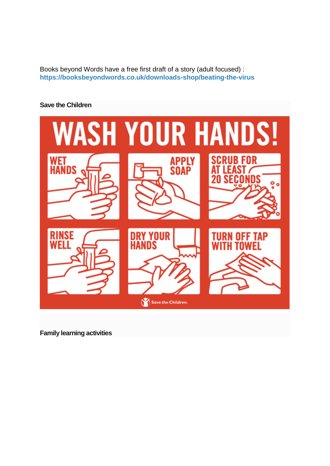Books beyond Words have a free first draft of a story (adult focused) : **[https://booksbeyondwords.co.uk/downloads-shop/beating-the-virus](https://mandrillapp.com/track/click/31136955/booksbeyondwords.co.uk?p=eyJzIjoiNzFiUWpVUXo4SFdNQU5paVVNb1BrMVlabDJJIiwidiI6MSwicCI6IntcInVcIjozMTEzNjk1NSxcInZcIjoxLFwidXJsXCI6XCJodHRwczpcXFwvXFxcL2Jvb2tzYmV5b25kd29yZHMuY28udWtcXFwvZG93bmxvYWRzLXNob3BcXFwvYmVhdGluZy10aGUtdmlydXNcIixcImlkXCI6XCIwYjM0ODc4ZTQwYTk0YjIwOGM2Njk0MWMzMzY4MzkxMFwiLFwidXJsX2lkc1wiOltcIjM2ODdjMWQ0ZmMzYmU0Yjk4NjhkZDgyYWZjZDc5YWU5NzIxYWIyM2NcIl19In0)**

## **Save the Children**



**Family learning activities**